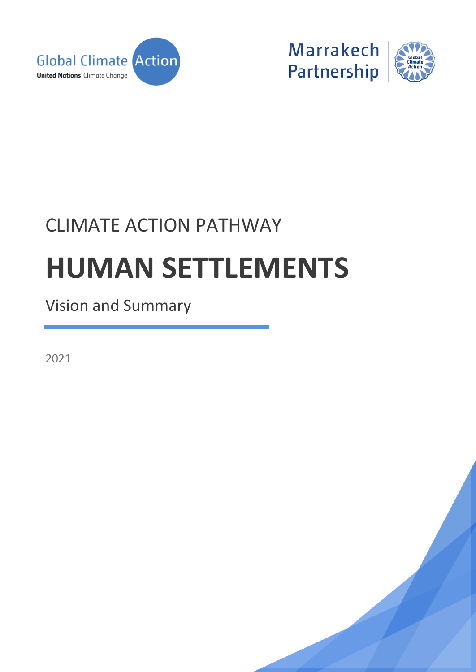



# CLIMATE ACTION PATHWAY **HUMAN SETTLEMENTS**

Vision and Summary

2021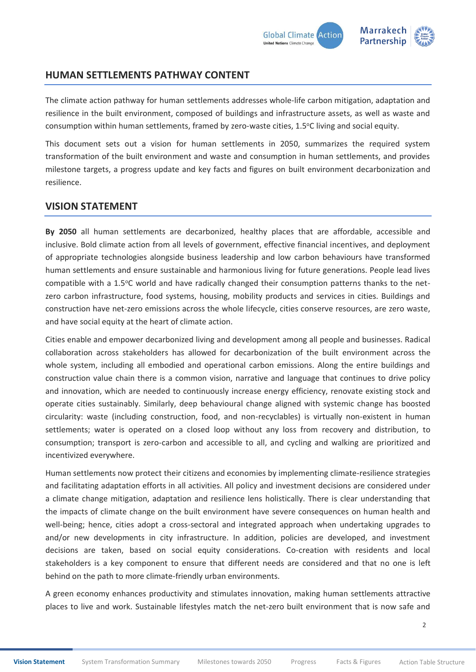

# **HUMAN SETTLEMENTS PATHWAY CONTENT**

The climate action pathway for human settlements addresses whole-life carbon mitigation, adaptation and resilience in the built environment, composed of buildings and infrastructure assets, as well as waste and consumption within human settlements, framed by zero-waste cities, 1.5°C living and social equity.

This document sets out a vision for human settlements in 2050, summarizes the required system transformation of the built environment and waste and consumption in human settlements, and provides milestone targets, a progress update and key facts and figures on built environment decarbonization and resilience.

## <span id="page-1-0"></span>**VISION STATEMENT**

**By 2050** all human settlements are decarbonized, healthy places that are affordable, accessible and inclusive. Bold climate action from all levels of government, effective financial incentives, and deployment of appropriate technologies alongside business leadership and low carbon behaviours have transformed human settlements and ensure sustainable and harmonious living for future generations. People lead lives compatible with a 1.5°C world and have radically changed their consumption patterns thanks to the netzero carbon infrastructure, food systems, housing, mobility products and services in cities. Buildings and construction have net-zero emissions across the whole lifecycle, cities conserve resources, are zero waste, and have social equity at the heart of climate action.

Cities enable and empower decarbonized living and development among all people and businesses. Radical collaboration across stakeholders has allowed for decarbonization of the built environment across the whole system, including all embodied and operational carbon emissions. Along the entire buildings and construction value chain there is a common vision, narrative and language that continues to drive policy and innovation, which are needed to continuously increase energy efficiency, renovate existing stock and operate cities sustainably. Similarly, deep behavioural change aligned with systemic change has boosted circularity: waste (including construction, food, and non-recyclables) is virtually non-existent in human settlements; water is operated on a closed loop without any loss from recovery and distribution, to consumption; transport is zero-carbon and accessible to all, and cycling and walking are prioritized and incentivized everywhere.

Human settlements now protect their citizens and economies by implementing climate-resilience strategies and facilitating adaptation efforts in all activities. All policy and investment decisions are considered under a climate change mitigation, adaptation and resilience lens holistically. There is clear understanding that the impacts of climate change on the built environment have severe consequences on human health and well-being; hence, cities adopt a cross-sectoral and integrated approach when undertaking upgrades to and/or new developments in city infrastructure. In addition, policies are developed, and investment decisions are taken, based on social equity considerations. Co-creation with residents and local stakeholders is a key component to ensure that different needs are considered and that no one is left behind on the path to more climate-friendly urban environments.

A green economy enhances productivity and stimulates innovation, making human settlements attractive places to live and work. Sustainable lifestyles match the net-zero built environment that is now safe and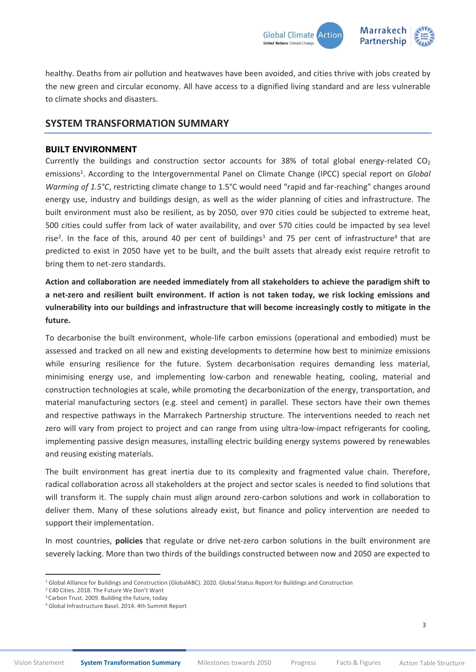

healthy. Deaths from air pollution and heatwaves have been avoided, and cities thrive with jobs created by the new green and circular economy. All have access to a dignified living standard and are less vulnerable to climate shocks and disasters.

## <span id="page-2-0"></span>**SYSTEM TRANSFORMATION SUMMARY**

## **BUILT ENVIRONMENT**

Currently the buildings and construction sector accounts for 38% of total global energy-related  $CO<sub>2</sub>$ emissions<sup>1</sup>. According to the Intergovernmental Panel on Climate Change (IPCC) special report on *Global Warming of 1.5°C*, restricting climate change to 1.5°C would need "rapid and far-reaching" changes around energy use, industry and buildings design, as well as the wider planning of cities and infrastructure. The built environment must also be resilient, as by 2050, over 970 cities could be subjected to extreme heat, 500 cities could suffer from lack of water availability, and over 570 cities could be impacted by sea level rise<sup>2</sup>. In the face of this, around 40 per cent of buildings<sup>3</sup> and 75 per cent of infrastructure<sup>4</sup> that are predicted to exist in 2050 have yet to be built, and the built assets that already exist require retrofit to bring them to net-zero standards.

**Action and collaboration are needed immediately from all stakeholders to achieve the paradigm shift to a net-zero and resilient built environment. If action is not taken today, we risk locking emissions and vulnerability into our buildings and infrastructure that will become increasingly costly to mitigate in the future.**

To decarbonise the built environment, whole-life carbon emissions (operational and embodied) must be assessed and tracked on all new and existing developments to determine how best to minimize emissions while ensuring resilience for the future. System decarbonisation requires demanding less material, minimising energy use, and implementing low-carbon and renewable heating, cooling, material and construction technologies at scale, while promoting the decarbonization of the energy, transportation, and material manufacturing sectors (e.g. steel and cement) in parallel. These sectors have their own themes and respective pathways in the Marrakech Partnership structure. The interventions needed to reach net zero will vary from project to project and can range from using ultra-low-impact refrigerants for cooling, implementing passive design measures, installing electric building energy systems powered by renewables and reusing existing materials.

The built environment has great inertia due to its complexity and fragmented value chain. Therefore, radical collaboration across all stakeholders at the project and sector scales is needed to find solutions that will transform it. The supply chain must align around zero-carbon solutions and work in collaboration to deliver them. Many of these solutions already exist, but finance and policy intervention are needed to support their implementation.

In most countries, **policies** that regulate or drive net-zero carbon solutions in the built environment are severely lacking. More than two thirds of the buildings constructed between now and 2050 are expected to

<sup>1</sup> Global Alliance for Buildings and Construction (GlobalABC)[. 2020. Global Status Report for Buildings and Construction](https://globalabc.org/resources/publications)

<sup>&</sup>lt;sup>2</sup> [C40 Cities. 2018. The Future We Don't Want](https://c40-production-images.s3.amazonaws.com/other_uploads/images/1789_Future_We_Don)

<sup>&</sup>lt;sup>3</sup> [Carbon Trust. 2009.](https://www.ukgbc.org/sites/default/files/Carbon%20Trust%20-%20Building%20the%20Future%20Today.pdf) Building the future, today

<sup>4</sup> [Global Infrastructure Basel. 2014. 4th Summit Report](https://gib-foundation.org/wp-content/uploads/2020/01/Summit-Report_ext_Fin_sml.pdf)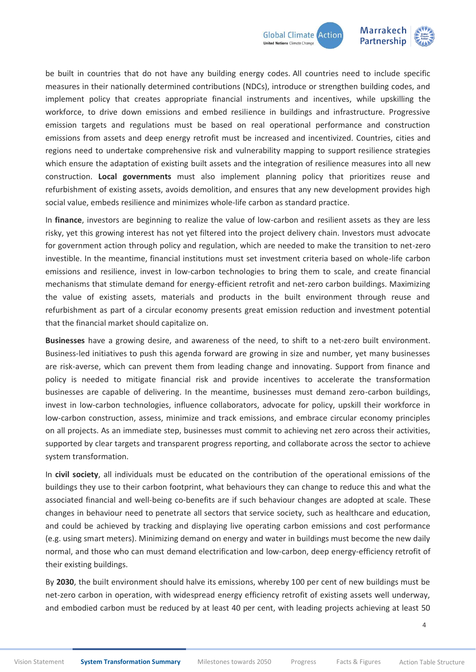

be built in countries that do not have any building energy codes. All countries need to include specific measures in their nationally determined contributions (NDCs), introduce or strengthen building codes, and implement policy that creates appropriate financial instruments and incentives, while upskilling the workforce, to drive down emissions and embed resilience in buildings and infrastructure. Progressive emission targets and regulations must be based on real operational performance and construction emissions from assets and deep energy retrofit must be increased and incentivized. Countries, cities and regions need to undertake comprehensive risk and vulnerability mapping to support resilience strategies which ensure the adaptation of existing built assets and the integration of resilience measures into all new construction. **Local governments** must also implement planning policy that prioritizes reuse and refurbishment of existing assets, avoids demolition, and ensures that any new development provides high social value, embeds resilience and minimizes whole-life carbon as standard practice.

In **finance**, investors are beginning to realize the value of low-carbon and resilient assets as they are less risky, yet this growing interest has not yet filtered into the project delivery chain. Investors must advocate for government action through policy and regulation, which are needed to make the transition to net-zero investible. In the meantime, financial institutions must set investment criteria based on whole-life carbon emissions and resilience, invest in low-carbon technologies to bring them to scale, and create financial mechanisms that stimulate demand for energy-efficient retrofit and net-zero carbon buildings. Maximizing the value of existing assets, materials and products in the built environment through reuse and refurbishment as part of a circular economy presents great emission reduction and investment potential that the financial market should capitalize on.

**Businesses** have a growing desire, and awareness of the need, to shift to a net-zero built environment. Business-led initiatives to push this agenda forward are growing in size and number, yet many businesses are risk-averse, which can prevent them from leading change and innovating. Support from finance and policy is needed to mitigate financial risk and provide incentives to accelerate the transformation businesses are capable of delivering. In the meantime, businesses must demand zero-carbon buildings, invest in low-carbon technologies, influence collaborators, advocate for policy, upskill their workforce in low-carbon construction, assess, minimize and track emissions, and embrace circular economy principles on all projects. As an immediate step, businesses must commit to achieving net zero across their activities, supported by clear targets and transparent progress reporting, and collaborate across the sector to achieve system transformation.

In **civil society**, all individuals must be educated on the contribution of the operational emissions of the buildings they use to their carbon footprint, what behaviours they can change to reduce this and what the associated financial and well-being co-benefits are if such behaviour changes are adopted at scale. These changes in behaviour need to penetrate all sectors that service society, such as healthcare and education, and could be achieved by tracking and displaying live operating carbon emissions and cost performance (e.g. using smart meters). Minimizing demand on energy and water in buildings must become the new daily normal, and those who can must demand electrification and low-carbon, deep energy-efficiency retrofit of their existing buildings.

By **2030**, the built environment should halve its emissions, whereby 100 per cent of new buildings must be net-zero carbon in operation, with widespread energy efficiency retrofit of existing assets well underway, and embodied carbon must be reduced by at least 40 per cent, with leading projects achieving at least 50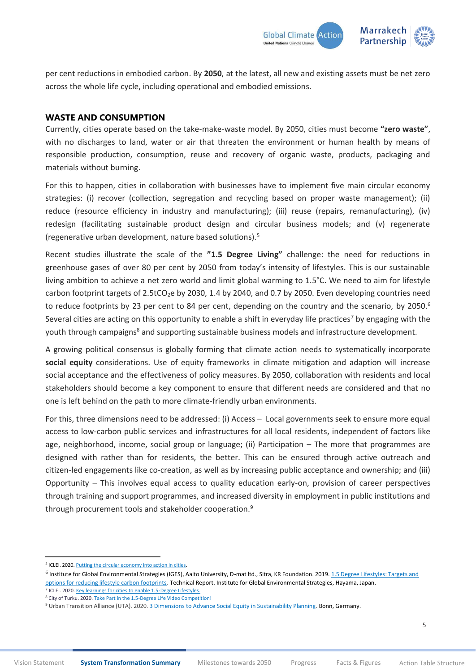

per cent reductions in embodied carbon. By **2050**, at the latest, all new and existing assets must be net zero across the whole life cycle, including operational and embodied emissions.

## **WASTE AND CONSUMPTION**

Currently, cities operate based on the take-make-waste model. By 2050, cities must become **"zero waste"**, with no discharges to land, water or air that threaten the environment or human health by means of responsible production, consumption, reuse and recovery of organic waste, products, packaging and materials without burning.

For this to happen, cities in collaboration with businesses have to implement five main circular economy strategies: (i) recover (collection, segregation and recycling based on proper waste management); (ii) reduce (resource efficiency in industry and manufacturing); (iii) reuse (repairs, remanufacturing), (iv) redesign (facilitating sustainable product design and circular business models; and (v) regenerate (regenerative urban development, nature based solutions).<sup>5</sup>

Recent studies illustrate the scale of the **"1.5 Degree Living"** challenge: the need for reductions in greenhouse gases of over 80 per cent by 2050 from today's intensity of lifestyles. This is our sustainable living ambition to achieve a net zero world and limit global warming to 1.5°C. We need to aim for lifestyle carbon footprint targets of  $2.5tCO<sub>2</sub>e$  by 2030, 1.4 by 2040, and 0.7 by 2050. Even developing countries need to reduce footprints by 23 per cent to 84 per cent, depending on the country and the scenario, by 2050.<sup>6</sup> Several cities are acting on this opportunity to enable a shift in everyday life practices<sup>7</sup> by engaging with the youth through campaigns<sup>8</sup> and supporting sustainable business models and infrastructure development.

A growing political consensus is globally forming that climate action needs to systematically incorporate **social equity** considerations. Use of equity frameworks in climate mitigation and adaption will increase social acceptance and the effectiveness of policy measures. By 2050, collaboration with residents and local stakeholders should become a key component to ensure that different needs are considered and that no one is left behind on the path to more climate-friendly urban environments.

For this, three dimensions need to be addressed: (i) Access – Local governments seek to ensure more equal access to low-carbon public services and infrastructures for all local residents, independent of factors like age, neighborhood, income, social group or language; (ii) Participation – The more that programmes are designed with rather than for residents, the better. This can be ensured through active outreach and citizen-led engagements like co-creation, as well as by increasing public acceptance and ownership; and (iii) Opportunity – This involves equal access to quality education early-on, provision of career perspectives through training and support programmes, and increased diversity in employment in public institutions and through procurement tools and stakeholder cooperation.<sup>9</sup>

<sup>&</sup>lt;sup>5</sup> ICLEI. 2020. Putting the circular economy into action in cities.

<sup>&</sup>lt;sup>6</sup> Institute for Global Environmental Strategies (IGES), Aalto University, D-mat ltd., Sitra, KR Foundation. 2019. 1.5 Degree Lifestyles: Targets and [options for reducing lifestyle carbon footprints.](https://www.iges.or.jp/en/pub/15-degrees-lifestyles-2019/en) Technical Report. Institute for Global Environmental Strategies, Hayama, Japan.

<sup>&</sup>lt;sup>7</sup> ICLEI. 2020[. Key learnings for cities to enable 1.5-Degree Lifestyles.](https://talkofthecities.iclei.org/key-learnings-for-cities-to-enable-1-5-degree-lifestyles/)

<sup>&</sup>lt;sup>8</sup> City of Turku. 2020[. Take Part in the 1.5-Degree Life Video Competition!](https://www.turku.fi/en/news/2020-10-29_take-part-15-degree-life-video-competition)

<sup>&</sup>lt;sup>9</sup> Urban Transition Alliance (UTA). 2020[. 3 Dimensions to Advance Social Equity in Sustainability Planning.](https://urbantransitions.org/wp-content/uploads/2017/01/Equity-paper-final-digital-20200903.pdf) Bonn, Germany.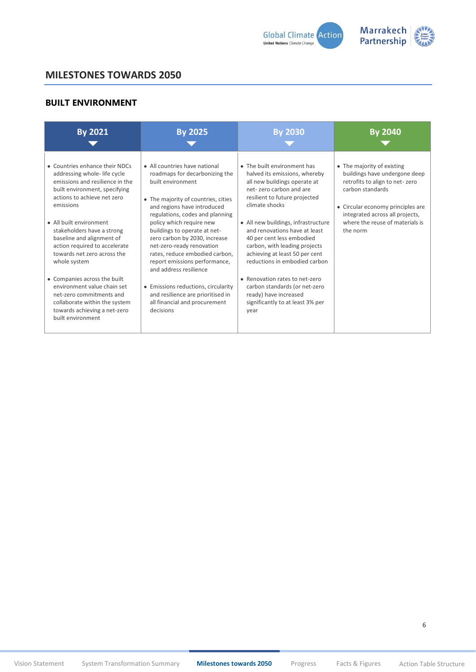

# <span id="page-5-0"></span>**BUILT ENVIRONMENT**

| <b>By 2021</b>                                                                                                                                                                                                                                                                                                                                                                                                                                                                                                                       | <b>By 2025</b>                                                                                                                                                                                                                                                                                                                                                                                                                                                                                                                                 | <b>By 2030</b>                                                                                                                                                                                                                                                                                                                                                                                                                                                                                                              | <b>By 2040</b>                                                                                                                                                                                                                           |
|--------------------------------------------------------------------------------------------------------------------------------------------------------------------------------------------------------------------------------------------------------------------------------------------------------------------------------------------------------------------------------------------------------------------------------------------------------------------------------------------------------------------------------------|------------------------------------------------------------------------------------------------------------------------------------------------------------------------------------------------------------------------------------------------------------------------------------------------------------------------------------------------------------------------------------------------------------------------------------------------------------------------------------------------------------------------------------------------|-----------------------------------------------------------------------------------------------------------------------------------------------------------------------------------------------------------------------------------------------------------------------------------------------------------------------------------------------------------------------------------------------------------------------------------------------------------------------------------------------------------------------------|------------------------------------------------------------------------------------------------------------------------------------------------------------------------------------------------------------------------------------------|
| • Countries enhance their NDCs<br>addressing whole-life cycle<br>emissions and resilience in the<br>built environment, specifying<br>actions to achieve net zero<br>emissions<br>• All built environment<br>stakeholders have a strong<br>baseline and alignment of<br>action required to accelerate<br>towards net zero across the<br>whole system<br>• Companies across the built<br>environment value chain set<br>net-zero commitments and<br>collaborate within the system<br>towards achieving a net-zero<br>built environment | • All countries have national<br>roadmaps for decarbonizing the<br>built environment<br>• The majority of countries, cities<br>and regions have introduced<br>regulations, codes and planning<br>policy which require new<br>buildings to operate at net-<br>zero carbon by 2030, increase<br>net-zero-ready renovation<br>rates, reduce embodied carbon,<br>report emissions performance,<br>and address resilience<br>• Emissions reductions, circularity<br>and resilience are prioritised in<br>all financial and procurement<br>decisions | • The built environment has<br>halved its emissions, whereby<br>all new buildings operate at<br>net-zero carbon and are<br>resilient to future projected<br>climate shocks<br>• All new buildings, infrastructure<br>and renovations have at least<br>40 per cent less embodied<br>carbon, with leading projects<br>achieving at least 50 per cent<br>reductions in embodied carbon<br>• Renovation rates to net-zero<br>carbon standards (or net-zero<br>ready) have increased<br>significantly to at least 3% per<br>year | • The majority of existing<br>buildings have undergone deep<br>retrofits to align to net-zero<br>carbon standards<br>• Circular economy principles are<br>integrated across all projects,<br>where the reuse of materials is<br>the norm |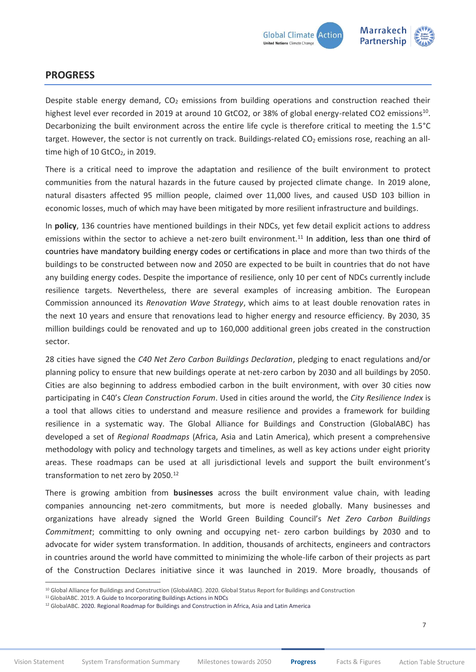

# <span id="page-6-0"></span>**PROGRESS**

Despite stable energy demand,  $CO<sub>2</sub>$  emissions from building operations and construction reached their highest level ever recorded in 2019 at around 10 GtCO2, or 38% of global energy-related CO2 emissions<sup>10</sup>. Decarbonizing the built environment across the entire life cycle is therefore critical to meeting the 1.5°C target. However, the sector is not currently on track. Buildings-related  $CO<sub>2</sub>$  emissions rose, reaching an alltime high of 10  $GCO<sub>2</sub>$ , in 2019.

There is a critical need to improve the adaptation and resilience of the built environment to protect communities from the natural hazards in the future caused by projected climate change. In 2019 alone, natural disasters affected 95 million people, claimed over 11,000 lives, and caused USD 103 billion in economic losses, much of which may have been mitigated by more resilient infrastructure and buildings.

In **policy**, 136 countries have mentioned buildings in their NDCs, yet few detail explicit actions to address emissions within the sector to achieve a net-zero built environment.<sup>11</sup> In addition, less than one third of countries have mandatory building energy codes or certifications in place and more than two thirds of the buildings to be constructed between now and 2050 are expected to be built in countries that do not have any building energy codes. Despite the importance of resilience, only 10 per cent of NDCs currently include resilience targets. Nevertheless, there are several examples of increasing ambition. The European Commission announced its *Renovation Wave Strategy*, which aims to at least double renovation rates in the next 10 years and ensure that renovations lead to higher energy and resource efficiency. By 2030, 35 million buildings could be renovated and up to 160,000 additional green jobs created in the construction sector.

28 cities have signed the *C40 Net Zero Carbon Buildings Declaration*, pledging to enact regulations and/or planning policy to ensure that new buildings operate at net-zero carbon by 2030 and all buildings by 2050. Cities are also beginning to address embodied carbon in the built environment, with over 30 cities now participating in C40's *Clean Construction Forum*. Used in cities around the world, the *City Resilience Index* is a tool that allows cities to understand and measure resilience and provides a framework for building resilience in a systematic way. The Global Alliance for Buildings and Construction (GlobalABC) has developed a set of *Regional Roadmaps* (Africa, Asia and Latin America), which present a comprehensive methodology with policy and technology targets and timelines, as well as key actions under eight priority areas. These roadmaps can be used at all jurisdictional levels and support the built environment's transformation to net zero by 2050. 12

There is growing ambition from **businesses** across the built environment value chain, with leading companies announcing net-zero commitments, but more is needed globally. Many businesses and organizations have already signed the World Green Building Council's *Net Zero Carbon Buildings Commitment*; committing to only owning and occupying net- zero carbon buildings by 2030 and to advocate for wider system transformation. In addition, thousands of architects, engineers and contractors in countries around the world have committed to minimizing the whole-life carbon of their projects as part of the Construction Declares initiative since it was launched in 2019. More broadly, thousands of

<sup>&</sup>lt;sup>10</sup> Global Alliance for Buildings and Construction (GlobalABC). 2020. Global Status Report for Buildings and Construction

<sup>&</sup>lt;sup>11</sup> GlobalABC. 2019[. A Guide to Incorporating Buildings Actions in NDCs](https://globalabc.org/sites/default/files/2020-03/GABC-NDC-GUIDE_ENGLISH.pdf)

<sup>12</sup> [GlobalABC. 2020. Regional Roadmap for Buildings and Construction in Africa, Asia and Latin America](https://globalabc.org/our-work/forging-regional-pathways-global-and-regional-roadmap)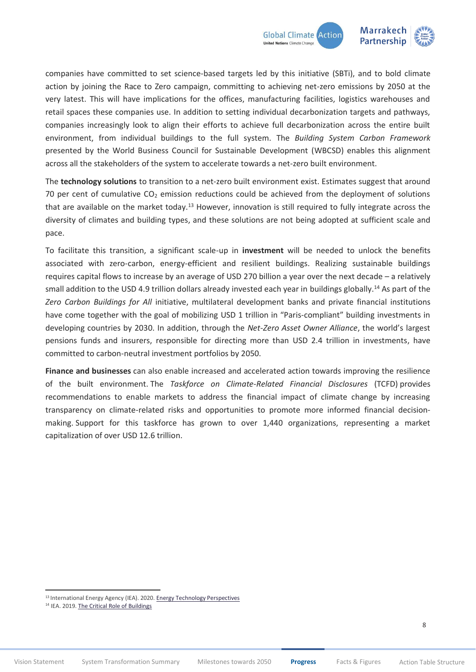

companies have committed to set science-based targets led by this initiative (SBTi), and to bold climate action by joining the Race to Zero campaign, committing to achieving net-zero emissions by 2050 at the very latest. This will have implications for the offices, manufacturing facilities, logistics warehouses and retail spaces these companies use. In addition to setting individual decarbonization targets and pathways, companies increasingly look to align their efforts to achieve full decarbonization across the entire built environment, from individual buildings to the full system. The *Building System Carbon Framework* presented by the World Business Council for Sustainable Development (WBCSD) enables this alignment across all the stakeholders of the system to accelerate towards a net-zero built environment.

The **technology solutions** to transition to a net-zero built environment exist. Estimates suggest that around 70 per cent of cumulative  $CO<sub>2</sub>$  emission reductions could be achieved from the deployment of solutions that are available on the market today.<sup>13</sup> However, innovation is still required to fully integrate across the diversity of climates and building types, and these solutions are not being adopted at sufficient scale and pace.

To facilitate this transition, a significant scale-up in **investment** will be needed to unlock the benefits associated with zero-carbon, energy-efficient and resilient buildings. Realizing sustainable buildings requires capital flows to increase by an average of USD 270 billion a year over the next decade – a relatively small addition to the USD 4.9 trillion dollars already invested each year in buildings globally. <sup>14</sup> As part of the *Zero Carbon Buildings for All* initiative, multilateral development banks and private financial institutions have come together with the goal of mobilizing USD 1 trillion in "Paris-compliant" building investments in developing countries by 2030. In addition, through the *Net-Zero Asset Owner Alliance*, the world's largest pensions funds and insurers, responsible for directing more than USD 2.4 trillion in investments, have committed to carbon-neutral investment portfolios by 2050.

**Finance and businesses** can also enable increased and accelerated action towards improving the resilience of the built environment. The *Taskforce on Climate-Related Financial Disclosures* (TCFD) provides recommendations to enable markets to address the financial impact of climate change by increasing transparency on climate-related risks and opportunities to promote more informed financial decisionmaking. Support for this taskforce has grown to over 1,440 organizations, representing a market capitalization of over USD 12.6 trillion.

<sup>13</sup> International Energy Agency (IEA). 2020. Energy Technology Perspectives

<sup>&</sup>lt;sup>14</sup> IEA. 2019. The Critical Role of Buildings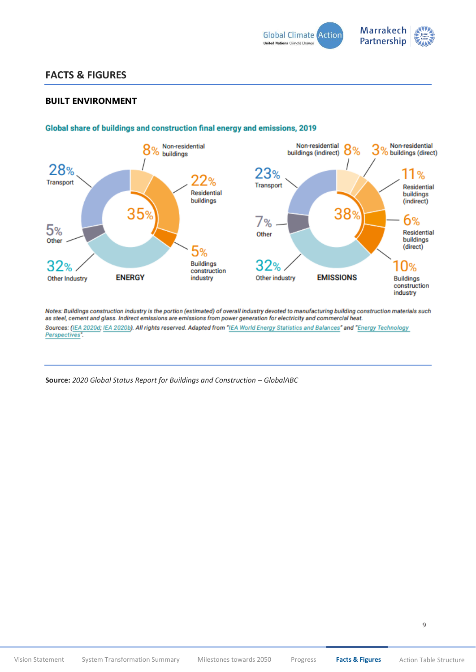

# <span id="page-8-0"></span>**FACTS & FIGURES**

## **BUILT ENVIRONMENT**



## Global share of buildings and construction final energy and emissions, 2019

Notes: Buildings construction industry is the portion (estimated) of overall industry devoted to manufacturing building construction materials such as steel, cement and glass. Indirect emissions are emissions from power generation for electricity and commercial heat. Sources: (IEA 2020d; IEA 2020b). All rights reserved. Adapted from "IEA World Energy Statistics and Balances" and "Energy Technology Perspectives".

**Source:** *2020 Global Status Report for Buildings and Construction – GlobalABC*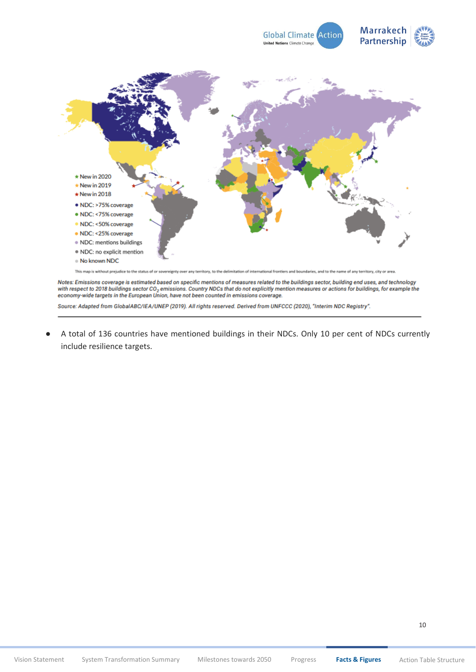



Notes: Emissions coverage is estimated based on specific mentions of measures related to the buildings sector, building end uses, and technology with respect to 2018 buildings sector CO<sub>2</sub> emissions. Country NDCs that do not explicitly mention measures or actions for buildings, for example the economy-wide targets in the European Union, have not been counted in emissions coverage.

Source: Adapted from GlobalABC/IEA/UNEP (2019). All rights reserved. Derived from UNFCCC (2020), "Interim NDC Registry".

A total of 136 countries have mentioned buildings in their NDCs. Only 10 per cent of NDCs currently include resilience targets.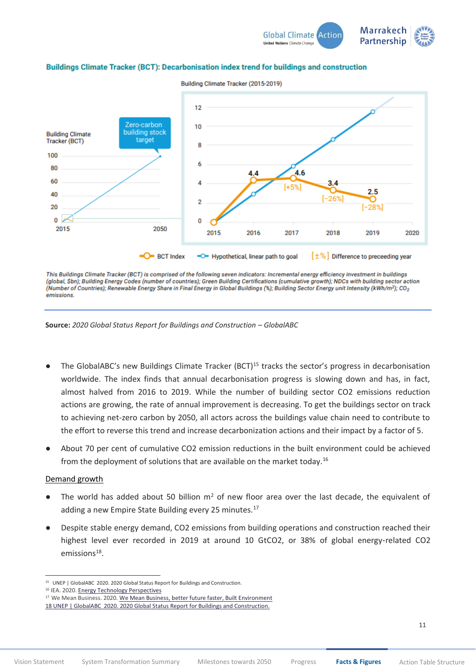



#### Buildings Climate Tracker (BCT): Decarbonisation index trend for buildings and construction

This Buildings Climate Tracker (BCT) is comprised of the following seven indicators: Incremental energy efficiency investment in buildings (global, Sbn); Building Energy Codes (number of countries); Green Building Certifications (cumulative growth); NDCs with building sector action (Number of Countries); Renewable Energy Share in Final Energy in Global Buildings (%); Building Sector Energy unit Intensity (kWh/m2); CO2 emissions

**Source:** *2020 Global Status Report for Buildings and Construction – GlobalABC*

- The GlobalABC's new Buildings Climate Tracker (BCT)<sup>15</sup> tracks the sector's progress in decarbonisation worldwide. The index finds that annual decarbonisation progress is slowing down and has, in fact, almost halved from 2016 to 2019. While the number of building sector CO2 emissions reduction actions are growing, the rate of annual improvement is decreasing. To get the buildings sector on track to achieving net-zero carbon by 2050, all actors across the buildings value chain need to contribute to the effort to reverse this trend and increase decarbonization actions and their impact by a factor of 5.
- About 70 per cent of cumulative CO2 emission reductions in the built environment could be achieved from the deployment of solutions that are available on the market today.<sup>16</sup>

#### Demand growth

- $\bullet$  The world has added about 50 billion m<sup>2</sup> of new floor area over the last decade, the equivalent of adding a new Empire State Building every 25 minutes.<sup>17</sup>
- Despite stable energy demand, CO2 emissions from building operations and construction reached their highest level ever recorded in 2019 at around 10 GtCO2, or 38% of global energy-related CO2 emissions<sup>18</sup>.

<sup>&</sup>lt;sup>15</sup> UNEP | GlobalABC 2020. 2020 Global Status Report for Buildings and Construction.

<sup>16</sup> IEA. 2020[. Energy Technology Perspectives](https://www.iea.org/reports/energy-technology-perspectives-2020)

<sup>&</sup>lt;sup>17</sup> We Mean Business. 2020. We Mean Business, [better future faster, Built Environment](https://betterfuturefaster.org/environment/) 18 UNEP | GlobalABC 2020. 2020 Global Status Report for Buildings and Construction.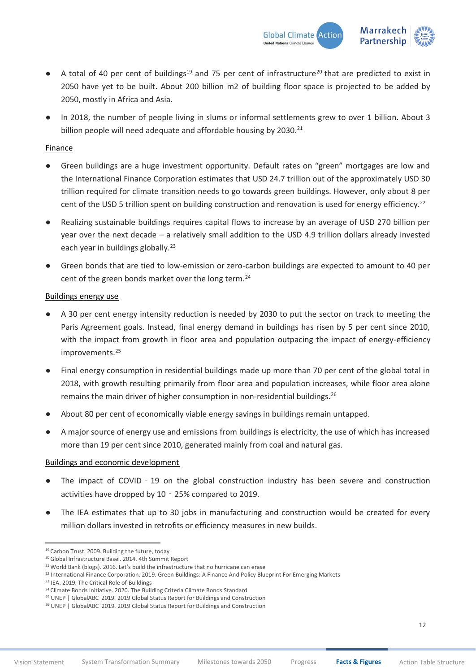

- A total of 40 per cent of buildings<sup>19</sup> and 75 per cent of infrastructure<sup>20</sup> that are predicted to exist in 2050 have yet to be built. About 200 billion m2 of building floor space is projected to be added by 2050, mostly in Africa and Asia.
- In 2018, the number of people living in slums or informal settlements grew to over 1 billion. About 3 billion people will need adequate and affordable housing by 2030.<sup>21</sup>

## **Finance**

- Green buildings are a huge investment opportunity. Default rates on "green" mortgages are low and the International Finance Corporation estimates that USD 24.7 trillion out of the approximately USD 30 trillion required for climate transition needs to go towards green buildings. However, only about 8 per cent of the USD 5 trillion spent on building construction and renovation is used for energy efficiency.<sup>22</sup>
- Realizing sustainable buildings requires capital flows to increase by an average of USD 270 billion per year over the next decade – a relatively small addition to the USD 4.9 trillion dollars already invested each year in buildings globally.<sup>23</sup>
- Green bonds that are tied to low-emission or zero-carbon buildings are expected to amount to 40 per cent of the green bonds market over the long term.<sup>24</sup>

## Buildings energy use

- A 30 per cent energy intensity reduction is needed by 2030 to put the sector on track to meeting the Paris Agreement goals. Instead, final energy demand in buildings has risen by 5 per cent since 2010, with the impact from growth in floor area and population outpacing the impact of energy-efficiency improvements.<sup>25</sup>
- Final energy consumption in residential buildings made up more than 70 per cent of the global total in 2018, with growth resulting primarily from floor area and population increases, while floor area alone remains the main driver of higher consumption in non-residential buildings.<sup>26</sup>
- About 80 per cent of economically viable energy savings in buildings remain untapped.
- A major source of energy use and emissions from buildings is electricity, the use of which has increased more than 19 per cent since 2010, generated mainly from coal and natural gas.

## Buildings and economic development

- The impact of COVID 19 on the global construction industry has been severe and construction activities have dropped by 10‐25% compared to 2019.
- The IEA estimates that up to 30 jobs in manufacturing and construction would be created for every million dollars invested in retrofits or efficiency measures in new builds.

<sup>19</sup> Carbon Trust. 2009. [Building the future, today](https://www.ukgbc.org/sites/default/files/Carbon%20Trust%20-%20Building%20the%20Future%20Today.pdf)

<sup>20</sup>[Global Infrastructure Basel. 2014. 4th Summit Report](https://gib-foundation.org/wp-content/uploads/2020/01/Summit-Report_ext_Fin_sml.pdf)

<sup>&</sup>lt;sup>21</sup> World Bank (blogs). 2016. Let's build the infrastructure that no hurricane can erase

<sup>&</sup>lt;sup>22</sup> International Finance Corporation. 2019[. Green Buildings: A Finance And Policy Blueprint For Emerging Markets](https://www.ifc.org/wps/wcm/connect/a6e06449-0819-4814-8e75-903d4f564731/59988-IFC-GreenBuildings-report_FINAL_1-30-20.pdf?MOD=AJPERES&CVID=m.TZbMU)

<sup>&</sup>lt;sup>23</sup> IEA. 2019[. The Critical Role of](https://www.iea.org/reports/the-critical-role-of-buildings) Buildings

<sup>&</sup>lt;sup>24</sup> Climate Bonds Initiative. 2020. [The Building Criteria Climate Bonds Standard](https://www.climatebonds.net/standard/buildings)

<sup>&</sup>lt;sup>25</sup> UNEP | GlobalABC 2019. 2019 Global Status Report for Buildings and Construction

<sup>&</sup>lt;sup>26</sup> UNEP | GlobalABC 2019. 2019 Global Status Report for Buildings and Construction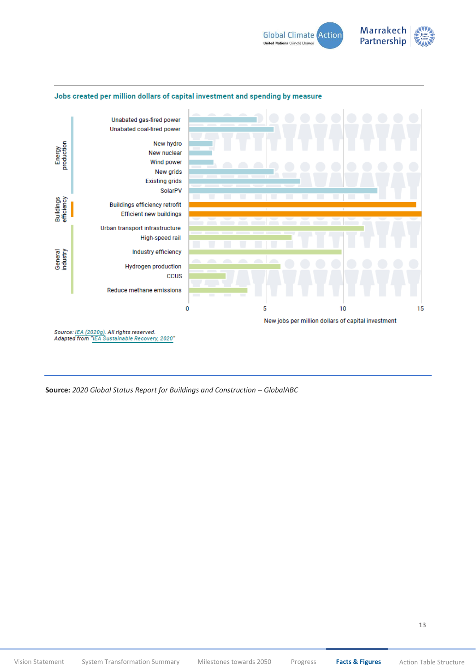



#### Jobs created per million dollars of capital investment and spending by measure

Source: <u>IEA (2020g)</u>. All rights reserved.<br>Adapted from "IEA Sustainable Recovery, 2020"

**Source:** *2020 Global Status Report for Buildings and Construction – GlobalABC*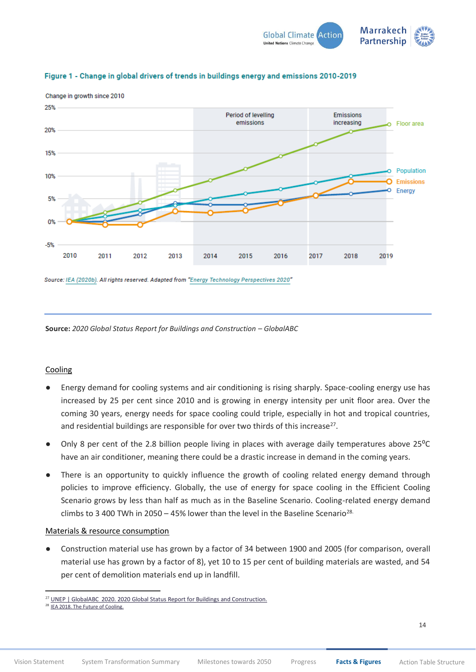



## Figure 1 - Change in global drivers of trends in buildings energy and emissions 2010-2019

Source: IEA (2020b). All rights reserved. Adapted from "Energy Technology Perspectives 2020"

**Source:** *2020 Global Status Report for Buildings and Construction – GlobalABC*

## Cooling

- Energy demand for cooling systems and air conditioning is rising sharply. Space-cooling energy use has increased by 25 per cent since 2010 and is growing in energy intensity per unit floor area. Over the coming 30 years, energy needs for space cooling could triple, especially in hot and tropical countries, and residential buildings are responsible for over two thirds of this increase<sup>27</sup>.
- Only 8 per cent of the 2.8 billion people living in places with average daily temperatures above 25<sup>o</sup>C have an air conditioner, meaning there could be a drastic increase in demand in the coming years.
- There is an opportunity to quickly influence the growth of cooling related energy demand through policies to improve efficiency. Globally, the use of energy for space cooling in the Efficient Cooling Scenario grows by less than half as much as in the Baseline Scenario. Cooling-related energy demand climbs to 3 400 TWh in 2050 – 45% lower than the level in the Baseline Scenario<sup>28.</sup>

## Materials & resource consumption

Construction material use has grown by a factor of 34 between 1900 and 2005 (for comparison, overall material use has grown by a factor of 8), yet 10 to 15 per cent of building materials are wasted, and 54 per cent of demolition materials end up in landfill.

<sup>&</sup>lt;sup>27</sup> UNEP | GlobalABC 2020. 2020 Global Status Report for Buildings and Construction.

<sup>&</sup>lt;sup>28</sup> IEA 2018. The Future of Cooling.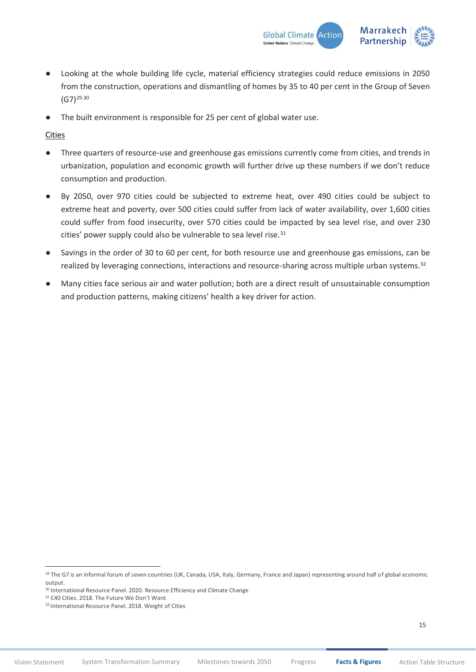

- Looking at the whole building life cycle, material efficiency strategies could reduce emissions in 2050 from the construction, operations and dismantling of homes by 35 to 40 per cent in the Group of Seven  $(G7)^{29.30}$
- The built environment is responsible for 25 per cent of global water use.

## Cities

- Three quarters of resource-use and greenhouse gas emissions currently come from cities, and trends in urbanization, population and economic growth will further drive up these numbers if we don't reduce consumption and production.
- By 2050, over 970 cities could be subjected to extreme heat, over 490 cities could be subject to extreme heat and poverty, over 500 cities could suffer from lack of water availability, over 1,600 cities could suffer from food insecurity, over 570 cities could be impacted by sea level rise, and over 230 cities' power supply could also be vulnerable to sea level rise.<sup>31</sup>
- Savings in the order of 30 to 60 per cent, for both resource use and greenhouse gas emissions, can be realized by leveraging connections, interactions and resource-sharing across multiple urban systems.<sup>32</sup>
- Many cities face serious air and water pollution; both are a direct result of unsustainable consumption and production patterns, making citizens' health a key driver for action.

<sup>&</sup>lt;sup>29</sup> The G7 is an informal forum of seven countries (UK, Canada, USA, Italy, Germany, France and Japan) representing around half of global economic output.

<sup>&</sup>lt;sup>30</sup> International Resource Panel. 2020[. Resource Efficiency and Climate Change](https://www.resourcepanel.org/reports/resource-efficiency-and-climate-change)

<sup>&</sup>lt;sup>31</sup> [C40 Cities. 2018. The Future We Don't Wa](https://c40-production-images.s3.amazonaws.com/other_uploads/images/1789_Future_We_Don)nt

<sup>&</sup>lt;sup>32</sup> [International Resource Panel. 2018. Weight of Cities](https://www.resourcepanel.org/reports/weight-cities)